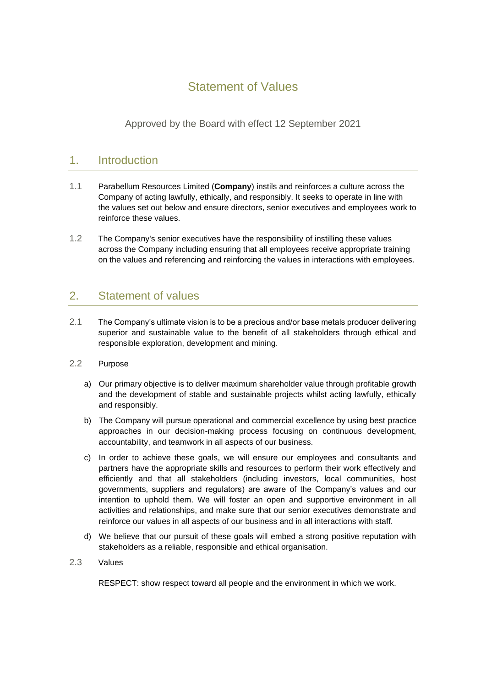## Statement of Values

Approved by the Board with effect 12 September 2021

## 1. Introduction

- 1.1 Parabellum Resources Limited (**Company**) instils and reinforces a culture across the Company of acting lawfully, ethically, and responsibly. It seeks to operate in line with the values set out below and ensure directors, senior executives and employees work to reinforce these values.
- 1.2 The Company's senior executives have the responsibility of instilling these values across the Company including ensuring that all employees receive appropriate training on the values and referencing and reinforcing the values in interactions with employees.

## 2. Statement of values

- 2.1 The Company's ultimate vision is to be a precious and/or base metals producer delivering superior and sustainable value to the benefit of all stakeholders through ethical and responsible exploration, development and mining.
- 2.2 Purpose
	- a) Our primary objective is to deliver maximum shareholder value through profitable growth and the development of stable and sustainable projects whilst acting lawfully, ethically and responsibly.
	- b) The Company will pursue operational and commercial excellence by using best practice approaches in our decision-making process focusing on continuous development, accountability, and teamwork in all aspects of our business.
	- c) In order to achieve these goals, we will ensure our employees and consultants and partners have the appropriate skills and resources to perform their work effectively and efficiently and that all stakeholders (including investors, local communities, host governments, suppliers and regulators) are aware of the Company's values and our intention to uphold them. We will foster an open and supportive environment in all activities and relationships, and make sure that our senior executives demonstrate and reinforce our values in all aspects of our business and in all interactions with staff.
	- d) We believe that our pursuit of these goals will embed a strong positive reputation with stakeholders as a reliable, responsible and ethical organisation.
- 2.3 Values

RESPECT: show respect toward all people and the environment in which we work.